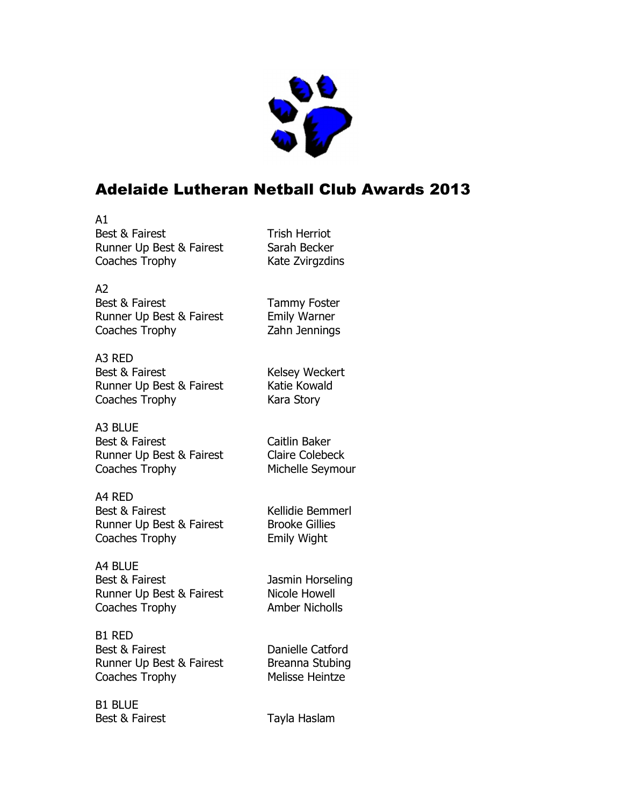

## Adelaide Lutheran Netball Club Awards 2013

 $A1$ Best & Fairest Trish Herriot Runner Up Best & Fairest Sarah Becker Coaches Trophy Kate Zvirgzdins

 $A2$ Best & Fairest Tammy Foster Runner Up Best & Fairest Emily Warner Coaches Trophy Zahn Jennings

A3 RED Best & Fairest Kelsey Weckert Runner Up Best & Fairest Katie Kowald Coaches Trophy Kara Story

A3 BLUE Best & Fairest Caitlin Baker Runner Up Best & Fairest Claire Colebeck Coaches Trophy Michelle Seymour

A4 RED Best & Fairest Kellidie Bemmerl Runner Up Best & Fairest Brooke Gillies Coaches Trophy **Emily Wight** 

A4 BLUE Best & Fairest **Jasmin Horseling** Runner Up Best & Fairest Nicole Howell Coaches Trophy Amber Nicholls

B1 RED Best & Fairest Danielle Catford Runner Up Best & Fairest Breanna Stubing Coaches Trophy Melisse Heintze

B1 BLUE Best & Fairest Tayla Haslam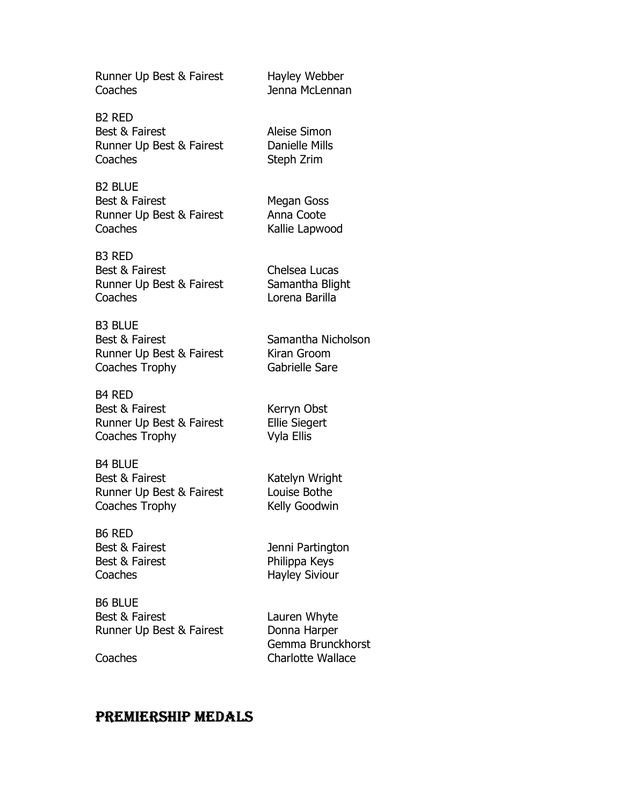Runner Up Best & Fairest Hayley Webber Coaches Jenna McLennan

B2 RED Best & Fairest **Aleise** Simon Runner Up Best & Fairest Danielle Mills Coaches Steph Zrim

B2 BLUE Best & Fairest Megan Goss Runner Up Best & Fairest Anna Coote Coaches **Kallie Lapwood** 

B3 RED Best & Fairest Chelsea Lucas Runner Up Best & Fairest Samantha Blight Coaches Lorena Barilla

B3 BLUE Best & Fairest Samantha Nicholson Runner Up Best & Fairest Kiran Groom Coaches Trophy Gabrielle Sare

B4 RED Best & Fairest Kerryn Obst Runner Up Best & Fairest Ellie Siegert Coaches Trophy Vyla Ellis

B4 BLUE Best & Fairest Katelyn Wright Runner Up Best & Fairest Louise Bothe Coaches Trophy Kelly Goodwin

B6 RED Best & Fairest **Philippa Keys** 

B6 BLUE Best & Fairest Lauren Whyte Runner Up Best & Fairest Donna Harper

Best & Fairest **Internal Partington** Coaches **Hayley Siviour** 

 Gemma Brunckhorst Coaches Coaches Charlotte Wallace

## PREMIERSHIP MEDALS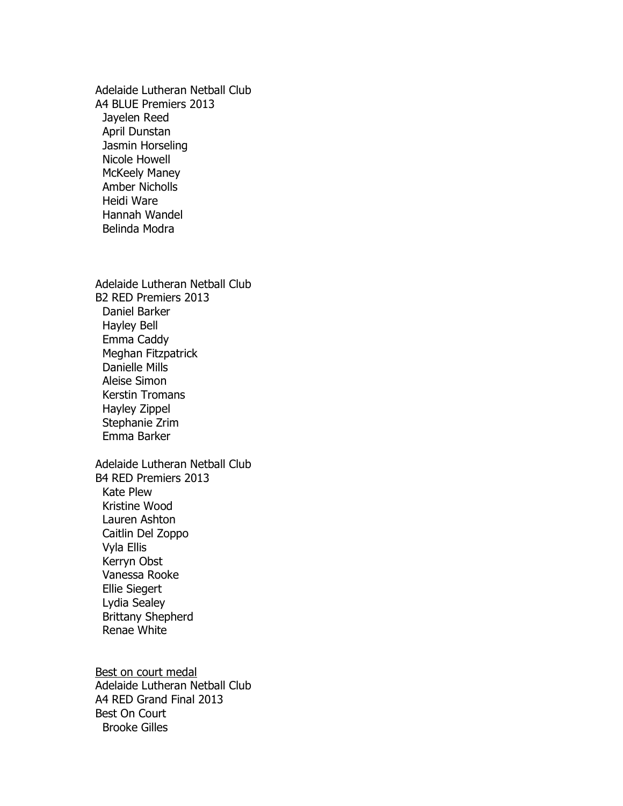Adelaide Lutheran Netball Club A4 BLUE Premiers 2013 Jayelen Reed April Dunstan Jasmin Horseling Nicole Howell McKeely Maney Amber Nicholls Heidi Ware Hannah Wandel Belinda Modra

Adelaide Lutheran Netball Club B2 RED Premiers 2013 Daniel Barker Hayley Bell Emma Caddy Meghan Fitzpatrick Danielle Mills Aleise Simon Kerstin Tromans Hayley Zippel Stephanie Zrim Emma Barker

Adelaide Lutheran Netball Club B4 RED Premiers 2013 Kate Plew Kristine Wood Lauren Ashton Caitlin Del Zoppo Vyla Ellis Kerryn Obst Vanessa Rooke Ellie Siegert Lydia Sealey Brittany Shepherd Renae White

Best on court medal Adelaide Lutheran Netball Club A4 RED Grand Final 2013 Best On Court Brooke Gilles